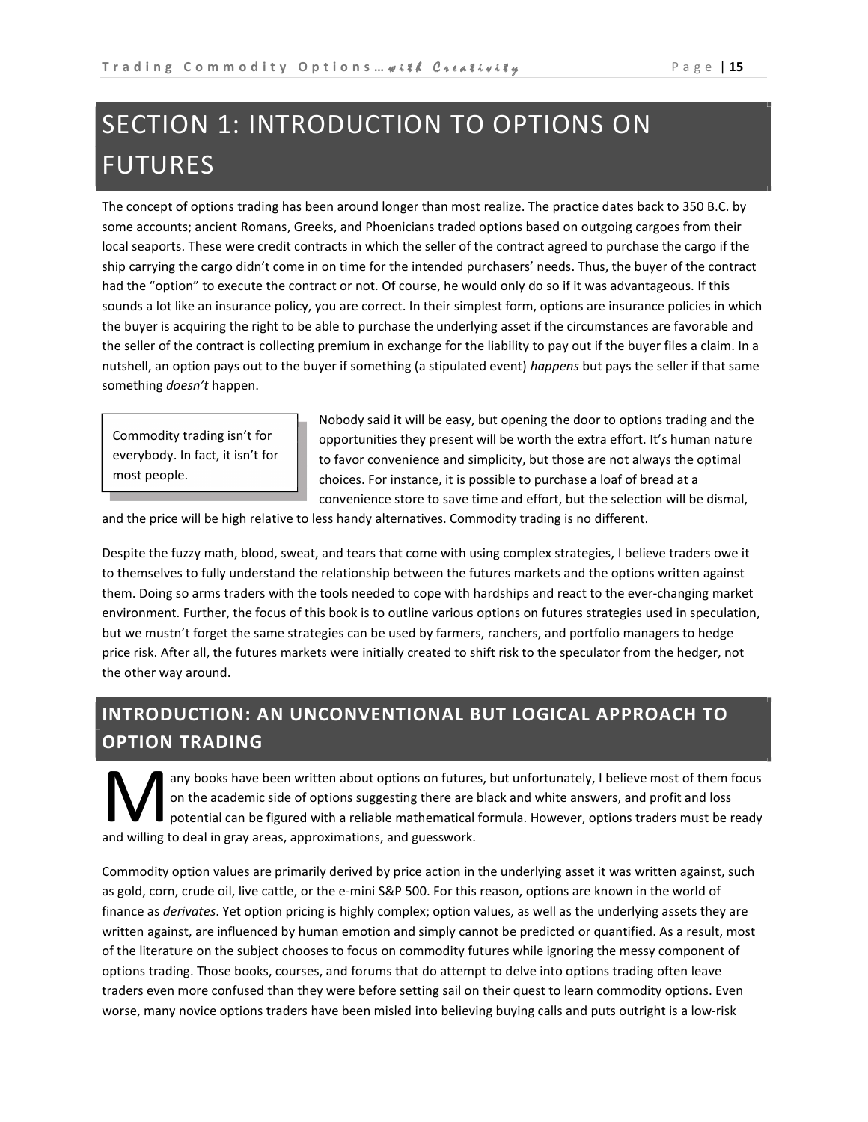# SECTION 1: INTRODUCTION TO OPTIONS ON FUTURES

The concept of options trading has been around longer than most realize. The practice dates back to 350 B.C. by some accounts; ancient Romans, Greeks, and Phoenicians traded options based on outgoing cargoes from their local seaports. These were credit contracts in which the seller of the contract agreed to purchase the cargo if the ship carrying the cargo didn't come in on time for the intended purchasers' needs. Thus, the buyer of the contract had the "option" to execute the contract or not. Of course, he would only do so if it was advantageous. If this sounds a lot like an insurance policy, you are correct. In their simplest form, options are insurance policies in which the buyer is acquiring the right to be able to purchase the underlying asset if the circumstances are favorable and the seller of the contract is collecting premium in exchange for the liability to pay out if the buyer files a claim. In a nutshell, an option pays out to the buyer if something (a stipulated event) happens but pays the seller if that same something *doesn't* happen.

Commodity trading isn't for everybody. In fact, it isn't for most people.

Nobody said it will be easy, but opening the door to options trading and the opportunities they present will be worth the extra effort. It's human nature to favor convenience and simplicity, but those are not always the optimal choices. For instance, it is possible to purchase a loaf of bread at a convenience store to save time and effort, but the selection will be dismal,

and the price will be high relative to less handy alternatives. Commodity trading is no different.

Despite the fuzzy math, blood, sweat, and tears that come with using complex strategies, I believe traders owe it to themselves to fully understand the relationship between the futures markets and the options written against them. Doing so arms traders with the tools needed to cope with hardships and react to the ever-changing market environment. Further, the focus of this book is to outline various options on futures strategies used in speculation, but we mustn't forget the same strategies can be used by farmers, ranchers, and portfolio managers to hedge price risk. After all, the futures markets were initially created to shift risk to the speculator from the hedger, not the other way around.

## INTRODUCTION: AN UNCONVENTIONAL BUT LOGICAL APPROACH TO OPTION TRADING

any books have been written about options on futures, but unfortunately, I believe most of them focus on the academic side of options suggesting there are black and white answers, and profit and loss potential can be figured with a reliable mathematical formula. However, options traders must be ready any books have been written about options on futures<br>on the academic side of options suggesting there are k<br>potential can be figured with a reliable mathematical f<br>and willing to deal in gray areas, approximations, and gue

Commodity option values are primarily derived by price action in the underlying asset it was written against, such as gold, corn, crude oil, live cattle, or the e-mini S&P 500. For this reason, options are known in the world of finance as derivates. Yet option pricing is highly complex; option values, as well as the underlying assets they are written against, are influenced by human emotion and simply cannot be predicted or quantified. As a result, most of the literature on the subject chooses to focus on commodity futures while ignoring the messy component of options trading. Those books, courses, and forums that do attempt to delve into options trading often leave traders even more confused than they were before setting sail on their quest to learn commodity options. Even worse, many novice options traders have been misled into believing buying calls and puts outright is a low-risk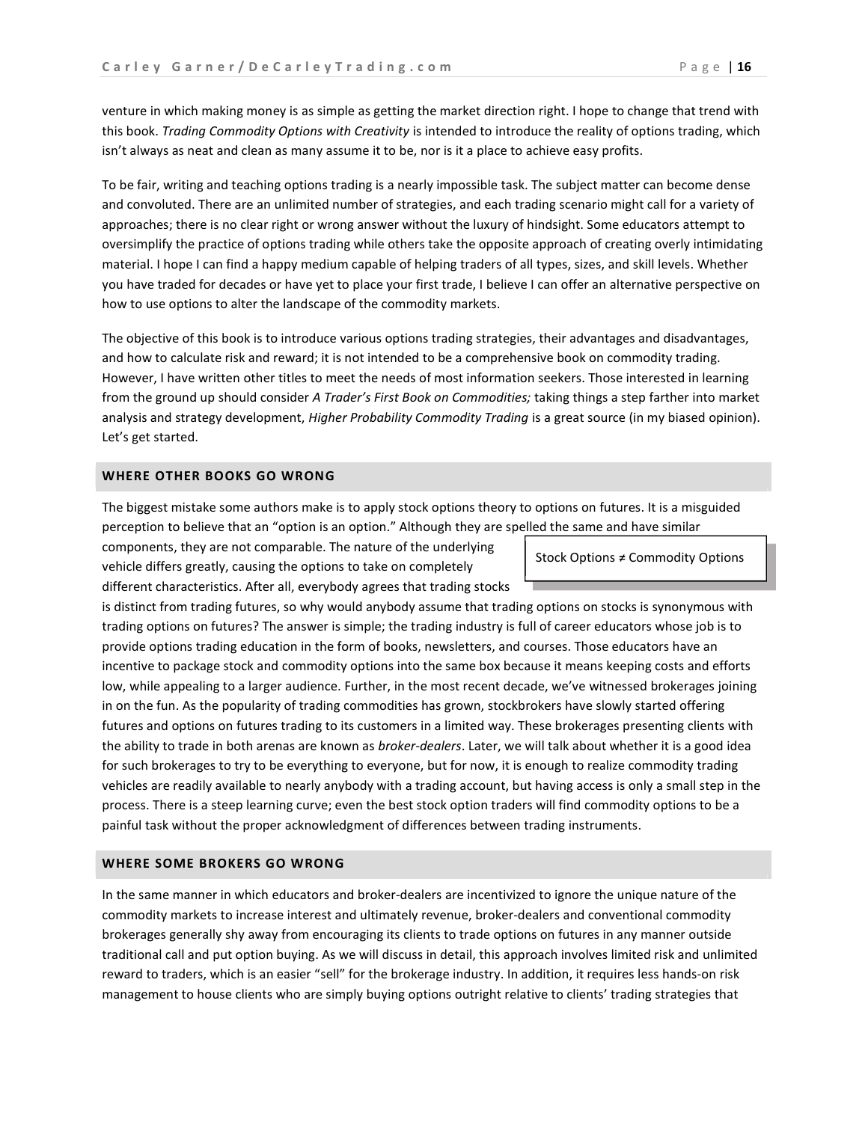venture in which making money is as simple as getting the market direction right. I hope to change that trend with this book. Trading Commodity Options with Creativity is intended to introduce the reality of options trading, which isn't always as neat and clean as many assume it to be, nor is it a place to achieve easy profits.

To be fair, writing and teaching options trading is a nearly impossible task. The subject matter can become dense and convoluted. There are an unlimited number of strategies, and each trading scenario might call for a variety of approaches; there is no clear right or wrong answer without the luxury of hindsight. Some educators attempt to oversimplify the practice of options trading while others take the opposite approach of creating overly intimidating material. I hope I can find a happy medium capable of helping traders of all types, sizes, and skill levels. Whether you have traded for decades or have yet to place your first trade, I believe I can offer an alternative perspective on how to use options to alter the landscape of the commodity markets.

The objective of this book is to introduce various options trading strategies, their advantages and disadvantages, and how to calculate risk and reward; it is not intended to be a comprehensive book on commodity trading. However, I have written other titles to meet the needs of most information seekers. Those interested in learning from the ground up should consider A Trader's First Book on Commodities; taking things a step farther into market analysis and strategy development, Higher Probability Commodity Trading is a great source (in my biased opinion). Let's get started.

#### WHERE OTHER BOOKS GO WRONG

The biggest mistake some authors make is to apply stock options theory to options on futures. It is a misguided perception to believe that an "option is an option." Although they are spelled the same and have similar

components, they are not comparable. The nature of the underlying vehicle differs greatly, causing the options to take on completely different characteristics. After all, everybody agrees that trading stocks

Stock Options  $\neq$  Commodity Options

is distinct from trading futures, so why would anybody assume that trading options on stocks is synonymous with trading options on futures? The answer is simple; the trading industry is full of career educators whose job is to provide options trading education in the form of books, newsletters, and courses. Those educators have an incentive to package stock and commodity options into the same box because it means keeping costs and efforts low, while appealing to a larger audience. Further, in the most recent decade, we've witnessed brokerages joining in on the fun. As the popularity of trading commodities has grown, stockbrokers have slowly started offering futures and options on futures trading to its customers in a limited way. These brokerages presenting clients with the ability to trade in both arenas are known as broker-dealers. Later, we will talk about whether it is a good idea for such brokerages to try to be everything to everyone, but for now, it is enough to realize commodity trading vehicles are readily available to nearly anybody with a trading account, but having access is only a small step in the process. There is a steep learning curve; even the best stock option traders will find commodity options to be a painful task without the proper acknowledgment of differences between trading instruments.

#### WHERE SOME BROKERS GO WRONG

In the same manner in which educators and broker-dealers are incentivized to ignore the unique nature of the commodity markets to increase interest and ultimately revenue, broker-dealers and conventional commodity brokerages generally shy away from encouraging its clients to trade options on futures in any manner outside traditional call and put option buying. As we will discuss in detail, this approach involves limited risk and unlimited reward to traders, which is an easier "sell" for the brokerage industry. In addition, it requires less hands-on risk management to house clients who are simply buying options outright relative to clients' trading strategies that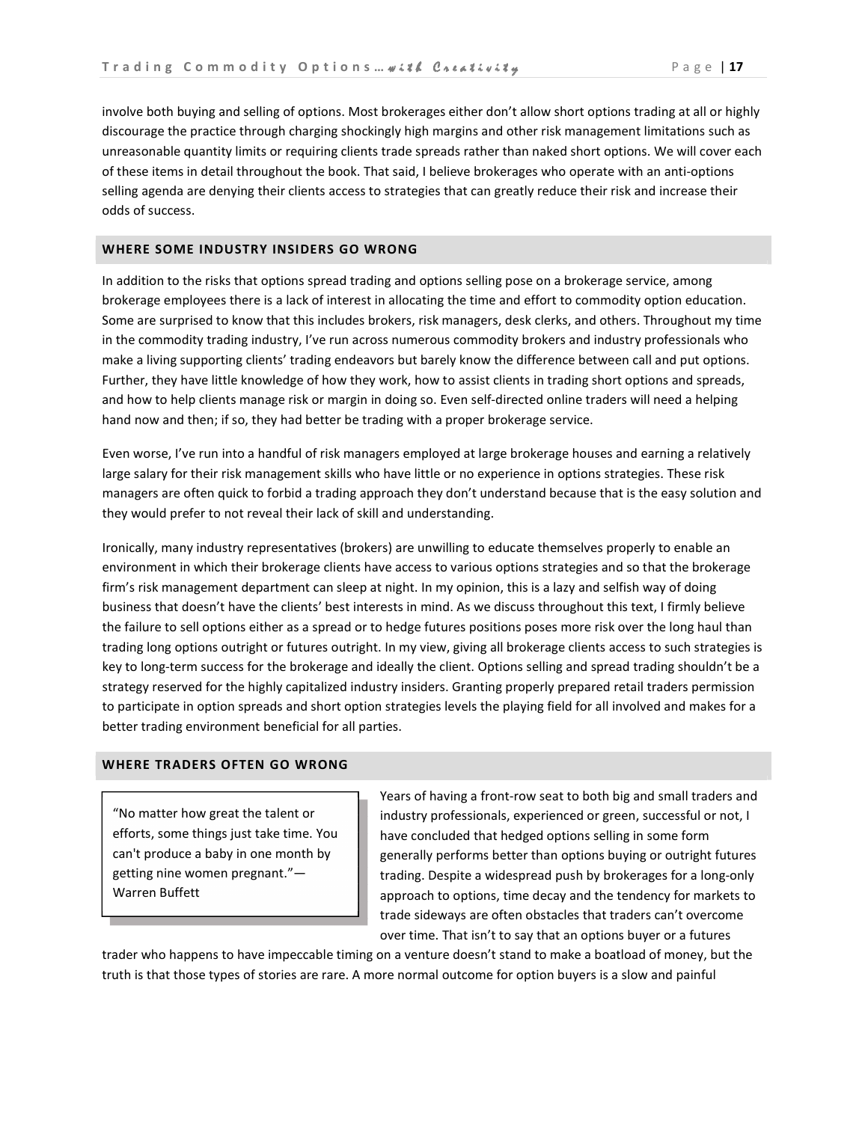involve both buying and selling of options. Most brokerages either don't allow short options trading at all or highly discourage the practice through charging shockingly high margins and other risk management limitations such as unreasonable quantity limits or requiring clients trade spreads rather than naked short options. We will cover each of these items in detail throughout the book. That said, I believe brokerages who operate with an anti-options selling agenda are denying their clients access to strategies that can greatly reduce their risk and increase their odds of success.

#### WHERE SOME INDUSTRY INSIDERS GO WRONG

In addition to the risks that options spread trading and options selling pose on a brokerage service, among brokerage employees there is a lack of interest in allocating the time and effort to commodity option education. Some are surprised to know that this includes brokers, risk managers, desk clerks, and others. Throughout my time in the commodity trading industry, I've run across numerous commodity brokers and industry professionals who make a living supporting clients' trading endeavors but barely know the difference between call and put options. Further, they have little knowledge of how they work, how to assist clients in trading short options and spreads, and how to help clients manage risk or margin in doing so. Even self-directed online traders will need a helping hand now and then; if so, they had better be trading with a proper brokerage service.

Even worse, I've run into a handful of risk managers employed at large brokerage houses and earning a relatively large salary for their risk management skills who have little or no experience in options strategies. These risk managers are often quick to forbid a trading approach they don't understand because that is the easy solution and they would prefer to not reveal their lack of skill and understanding.

Ironically, many industry representatives (brokers) are unwilling to educate themselves properly to enable an environment in which their brokerage clients have access to various options strategies and so that the brokerage firm's risk management department can sleep at night. In my opinion, this is a lazy and selfish way of doing business that doesn't have the clients' best interests in mind. As we discuss throughout this text, I firmly believe the failure to sell options either as a spread or to hedge futures positions poses more risk over the long haul than trading long options outright or futures outright. In my view, giving all brokerage clients access to such strategies is key to long-term success for the brokerage and ideally the client. Options selling and spread trading shouldn't be a strategy reserved for the highly capitalized industry insiders. Granting properly prepared retail traders permission to participate in option spreads and short option strategies levels the playing field for all involved and makes for a better trading environment beneficial for all parties.

#### WHERE TRADERS OFTEN GO WRONG

"No matter how great the talent or efforts, some things just take time. You can't produce a baby in one month by getting nine women pregnant."— Warren Buffett

Years of having a front-row seat to both big and small traders and industry professionals, experienced or green, successful or not, I have concluded that hedged options selling in some form generally performs better than options buying or outright futures trading. Despite a widespread push by brokerages for a long-only approach to options, time decay and the tendency for markets to trade sideways are often obstacles that traders can't overcome over time. That isn't to say that an options buyer or a futures

trader who happens to have impeccable timing on a venture doesn't stand to make a boatload of money, but the truth is that those types of stories are rare. A more normal outcome for option buyers is a slow and painful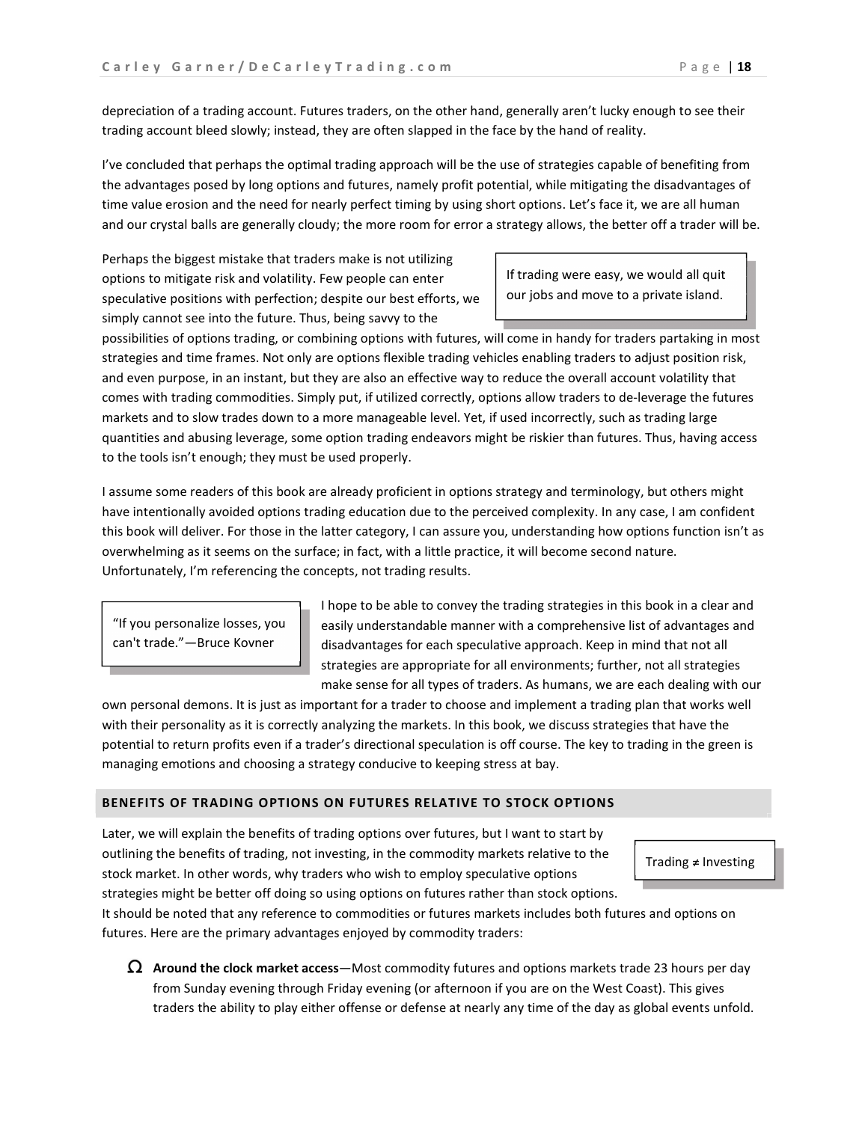depreciation of a trading account. Futures traders, on the other hand, generally aren't lucky enough to see their trading account bleed slowly; instead, they are often slapped in the face by the hand of reality.

I've concluded that perhaps the optimal trading approach will be the use of strategies capable of benefiting from the advantages posed by long options and futures, namely profit potential, while mitigating the disadvantages of time value erosion and the need for nearly perfect timing by using short options. Let's face it, we are all human and our crystal balls are generally cloudy; the more room for error a strategy allows, the better off a trader will be.

Perhaps the biggest mistake that traders make is not utilizing options to mitigate risk and volatility. Few people can enter speculative positions with perfection; despite our best efforts, we simply cannot see into the future. Thus, being savvy to the

If trading were easy, we would all quit our jobs and move to a private island.

possibilities of options trading, or combining options with futures, will come in handy for traders partaking in most strategies and time frames. Not only are options flexible trading vehicles enabling traders to adjust position risk, and even purpose, in an instant, but they are also an effective way to reduce the overall account volatility that comes with trading commodities. Simply put, if utilized correctly, options allow traders to de-leverage the futures markets and to slow trades down to a more manageable level. Yet, if used incorrectly, such as trading large quantities and abusing leverage, some option trading endeavors might be riskier than futures. Thus, having access to the tools isn't enough; they must be used properly.

I assume some readers of this book are already proficient in options strategy and terminology, but others might have intentionally avoided options trading education due to the perceived complexity. In any case, I am confident this book will deliver. For those in the latter category, I can assure you, understanding how options function isn't as overwhelming as it seems on the surface; in fact, with a little practice, it will become second nature. Unfortunately, I'm referencing the concepts, not trading results.

"If you personalize losses, you can't trade."—Bruce Kovner

I hope to be able to convey the trading strategies in this book in a clear and easily understandable manner with a comprehensive list of advantages and disadvantages for each speculative approach. Keep in mind that not all strategies are appropriate for all environments; further, not all strategies make sense for all types of traders. As humans, we are each dealing with our

own personal demons. It is just as important for a trader to choose and implement a trading plan that works well with their personality as it is correctly analyzing the markets. In this book, we discuss strategies that have the potential to return profits even if a trader's directional speculation is off course. The key to trading in the green is managing emotions and choosing a strategy conducive to keeping stress at bay.

#### BENEFITS OF TRADING OPTIONS ON FUTURES RELATIVE TO STOCK OPTIONS

Later, we will explain the benefits of trading options over futures, but I want to start by outlining the benefits of trading, not investing, in the commodity markets relative to the stock market. In other words, why traders who wish to employ speculative options strategies might be better off doing so using options on futures rather than stock options.



It should be noted that any reference to commodities or futures markets includes both futures and options on futures. Here are the primary advantages enjoyed by commodity traders:

 $\Omega$  Around the clock market access—Most commodity futures and options markets trade 23 hours per day from Sunday evening through Friday evening (or afternoon if you are on the West Coast). This gives traders the ability to play either offense or defense at nearly any time of the day as global events unfold.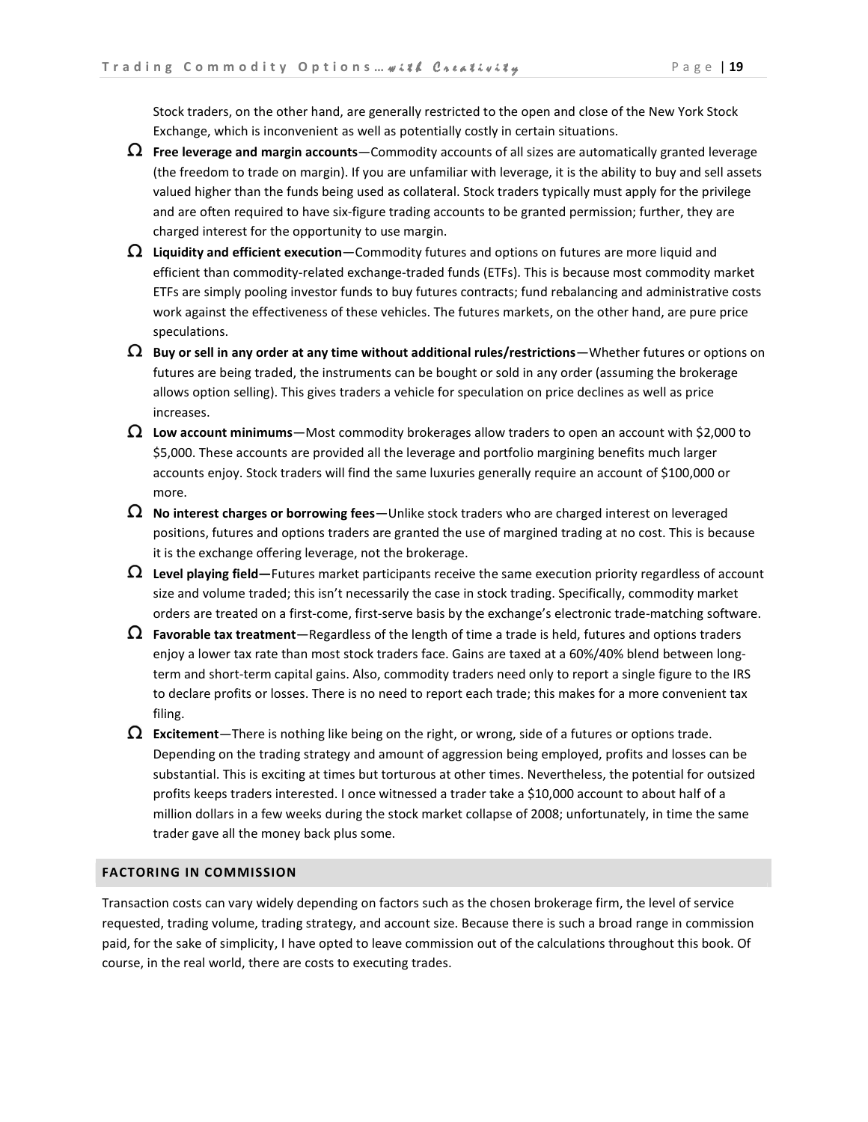Stock traders, on the other hand, are generally restricted to the open and close of the New York Stock Exchange, which is inconvenient as well as potentially costly in certain situations.

- $\Omega$  Free leverage and margin accounts—Commodity accounts of all sizes are automatically granted leverage (the freedom to trade on margin). If you are unfamiliar with leverage, it is the ability to buy and sell assets valued higher than the funds being used as collateral. Stock traders typically must apply for the privilege and are often required to have six-figure trading accounts to be granted permission; further, they are charged interest for the opportunity to use margin.
- $\Omega$  Liquidity and efficient execution—Commodity futures and options on futures are more liquid and efficient than commodity-related exchange-traded funds (ETFs). This is because most commodity market ETFs are simply pooling investor funds to buy futures contracts; fund rebalancing and administrative costs work against the effectiveness of these vehicles. The futures markets, on the other hand, are pure price speculations.
- $\, \Omega \,$  Buy or sell in any order at any time without additional rules/restrictions—Whether futures or options on futures are being traded, the instruments can be bought or sold in any order (assuming the brokerage allows option selling). This gives traders a vehicle for speculation on price declines as well as price increases.
- $\Omega$  Low account minimums—Most commodity brokerages allow traders to open an account with \$2,000 to \$5,000. These accounts are provided all the leverage and portfolio margining benefits much larger accounts enjoy. Stock traders will find the same luxuries generally require an account of \$100,000 or more.
- $\Omega$  No interest charges or borrowing fees—Unlike stock traders who are charged interest on leveraged positions, futures and options traders are granted the use of margined trading at no cost. This is because it is the exchange offering leverage, not the brokerage.
- $\Omega$  Level playing field—Futures market participants receive the same execution priority regardless of account size and volume traded; this isn't necessarily the case in stock trading. Specifically, commodity market orders are treated on a first-come, first-serve basis by the exchange's electronic trade-matching software.
- $\Omega$  Favorable tax treatment—Regardless of the length of time a trade is held, futures and options traders enjoy a lower tax rate than most stock traders face. Gains are taxed at a 60%/40% blend between longterm and short-term capital gains. Also, commodity traders need only to report a single figure to the IRS to declare profits or losses. There is no need to report each trade; this makes for a more convenient tax filing.
- $\Omega$  Excitement—There is nothing like being on the right, or wrong, side of a futures or options trade. Depending on the trading strategy and amount of aggression being employed, profits and losses can be substantial. This is exciting at times but torturous at other times. Nevertheless, the potential for outsized profits keeps traders interested. I once witnessed a trader take a \$10,000 account to about half of a million dollars in a few weeks during the stock market collapse of 2008; unfortunately, in time the same trader gave all the money back plus some.

#### FACTORING IN COMMISSION

Transaction costs can vary widely depending on factors such as the chosen brokerage firm, the level of service requested, trading volume, trading strategy, and account size. Because there is such a broad range in commission paid, for the sake of simplicity, I have opted to leave commission out of the calculations throughout this book. Of course, in the real world, there are costs to executing trades.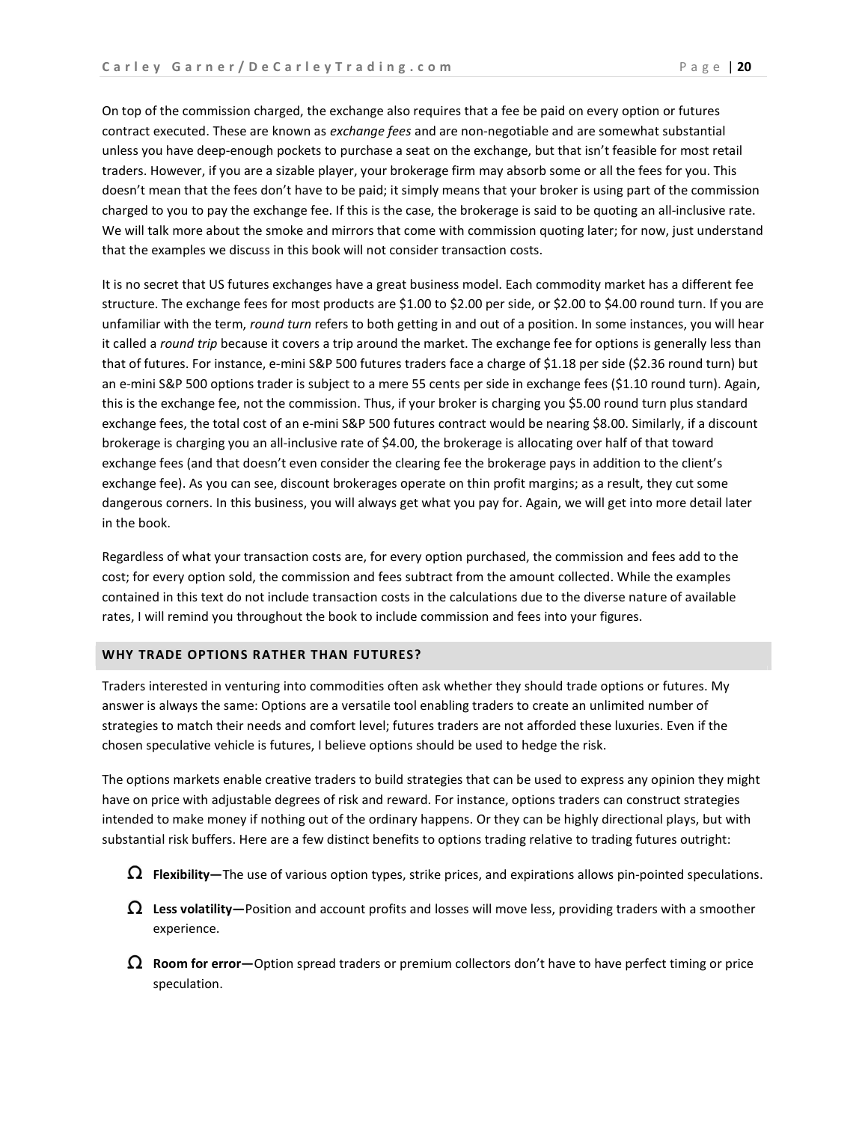On top of the commission charged, the exchange also requires that a fee be paid on every option or futures contract executed. These are known as exchange fees and are non-negotiable and are somewhat substantial unless you have deep-enough pockets to purchase a seat on the exchange, but that isn't feasible for most retail traders. However, if you are a sizable player, your brokerage firm may absorb some or all the fees for you. This doesn't mean that the fees don't have to be paid; it simply means that your broker is using part of the commission charged to you to pay the exchange fee. If this is the case, the brokerage is said to be quoting an all-inclusive rate. We will talk more about the smoke and mirrors that come with commission quoting later; for now, just understand that the examples we discuss in this book will not consider transaction costs.

It is no secret that US futures exchanges have a great business model. Each commodity market has a different fee structure. The exchange fees for most products are \$1.00 to \$2.00 per side, or \$2.00 to \$4.00 round turn. If you are unfamiliar with the term, round turn refers to both getting in and out of a position. In some instances, you will hear it called a round trip because it covers a trip around the market. The exchange fee for options is generally less than that of futures. For instance, e-mini S&P 500 futures traders face a charge of \$1.18 per side (\$2.36 round turn) but an e-mini S&P 500 options trader is subject to a mere 55 cents per side in exchange fees (\$1.10 round turn). Again, this is the exchange fee, not the commission. Thus, if your broker is charging you \$5.00 round turn plus standard exchange fees, the total cost of an e-mini S&P 500 futures contract would be nearing \$8.00. Similarly, if a discount brokerage is charging you an all-inclusive rate of \$4.00, the brokerage is allocating over half of that toward exchange fees (and that doesn't even consider the clearing fee the brokerage pays in addition to the client's exchange fee). As you can see, discount brokerages operate on thin profit margins; as a result, they cut some dangerous corners. In this business, you will always get what you pay for. Again, we will get into more detail later in the book.

Regardless of what your transaction costs are, for every option purchased, the commission and fees add to the cost; for every option sold, the commission and fees subtract from the amount collected. While the examples contained in this text do not include transaction costs in the calculations due to the diverse nature of available rates, I will remind you throughout the book to include commission and fees into your figures.

#### WHY TRADE OPTIONS RATHER THAN FUTURES?

Traders interested in venturing into commodities often ask whether they should trade options or futures. My answer is always the same: Options are a versatile tool enabling traders to create an unlimited number of strategies to match their needs and comfort level; futures traders are not afforded these luxuries. Even if the chosen speculative vehicle is futures, I believe options should be used to hedge the risk.

The options markets enable creative traders to build strategies that can be used to express any opinion they might have on price with adjustable degrees of risk and reward. For instance, options traders can construct strategies intended to make money if nothing out of the ordinary happens. Or they can be highly directional plays, but with substantial risk buffers. Here are a few distinct benefits to options trading relative to trading futures outright:

- $\Omega$  Flexibility—The use of various option types, strike prices, and expirations allows pin-pointed speculations.
- $\Omega$  Less volatility—Position and account profits and losses will move less, providing traders with a smoother experience.
- $\Omega$  Room for error—Option spread traders or premium collectors don't have to have perfect timing or price speculation.